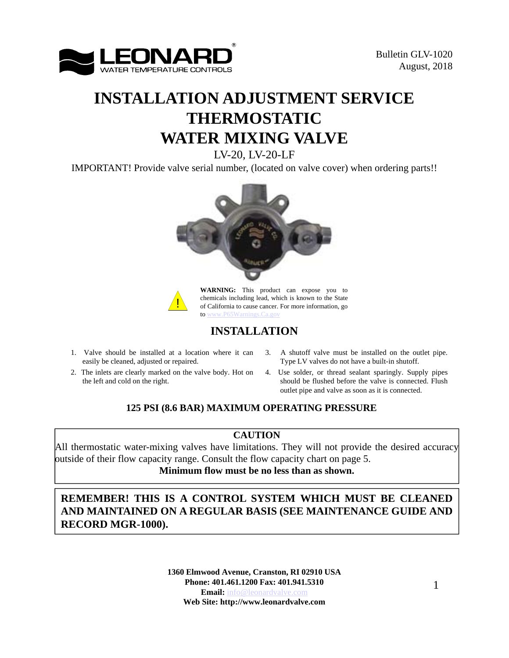

# **INSTALLATION ADJUSTMENT SERVICE THERMOSTATIC WATER MIXING VALVE**

LV-20, LV-20-LF

IMPORTANT! Provide valve serial number, (located on valve cover) when ordering parts!!





**WARNING:** This product can expose you to chemicals including lead, which is known to the State of California to cause cancer. For more information, go to www.P65Warnings

### **INSTALLATION**

- 1. Valve should be installed at a location where it can 3. A shutoff valve must be installed on the outlet pipe. easily be cleaned, adjusted or repaired.
- 2. The inlets are clearly marked on the valve body. Hot on the left and cold on the right.
- Type LV valves do not have a built-in shutoff.
- 4. Use solder, or thread sealant sparingly. Supply pipes should be flushed before the valve is connected. Flush outlet pipe and valve as soon as it is connected.

### **125 PSI (8.6 BAR) MAXIMUM OPERATING PRESSURE**

### **CAUTION**

All thermostatic water-mixing valves have limitations. They will not provide the desired accuracy outside of their flow capacity range. Consult the flow capacity chart on page 5. **Minimum flow must be no less than as shown.**

### **REMEMBER! THIS IS A CONTROL SYSTEM WHICH MUST BE CLEANED AND MAINTAINED ON A REGULAR BASIS (SEE MAINTENANCE GUIDE AND RECORD MGR-1000).**

**1360 Elmwood Avenue, Cranston, RI 02910 USA Phone: 401.461.1200 Fax: 401.941.5310 Email:** info@leonardvalve.com **Web Site: http://www.leonardvalve.com**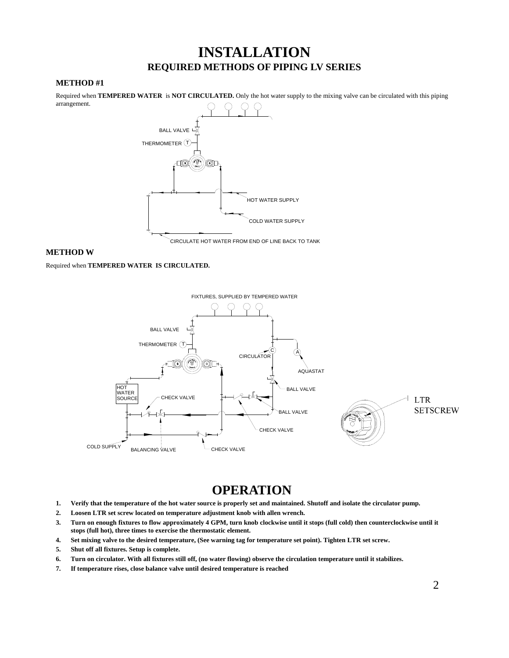## **INSTALLATION REQUIRED METHODS OF PIPING LV SERIES**

#### **METHOD #1**

arrangement.

Required when **TEMPERED WATER** is **NOT CIRCULATED.** Only the hot water supply to the mixing valve can be circulated with this piping BALL VALVE HOT WATER SUPPLY THERMOMETER  $(T)$ COLD WATER SUPPLY

CIRCULATE HOT WATER FROM END OF LINE BACK TO TANK

#### **METHOD W**

Required when **TEMPERED WATER IS CIRCULATED.**



## **OPERATION**

- **1. Verify that the temperature of the hot water source is properly set and maintained. Shutoff and isolate the circulator pump.**
- **2. Loosen LTR set screw located on temperature adjustment knob with allen wrench.**
- **3. Turn on enough fixtures to flow approximately 4 GPM, turn knob clockwise until it stops (full cold) then counterclockwise until it stops (full hot), three times to exercise the thermostatic element.**
- **4. Set mixing valve to the desired temperature, (See warning tag for temperature set point). Tighten LTR set screw.**
- **5. Shut off all fixtures. Setup is complete.**
- **6. Turn on circulator. With all fixtures still off, (no water flowing) observe the circulation temperature until it stabilizes.**
- **7. If temperature rises, close balance valve until desired temperature is reached**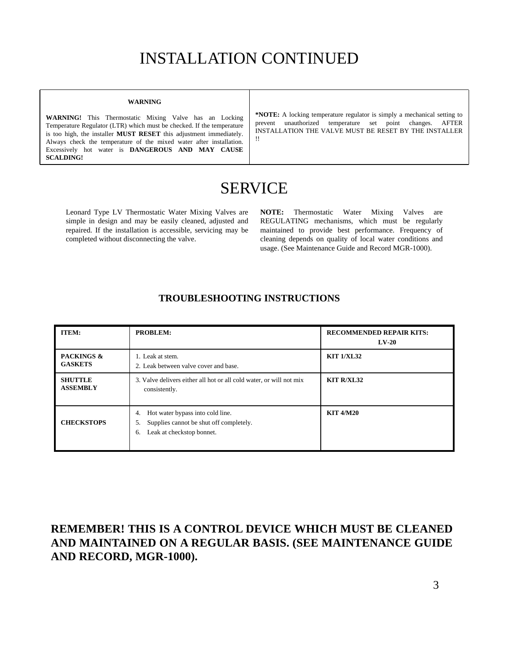# INSTALLATION CONTINUED

#### **WARNING**

**WARNING!** This Thermostatic Mixing Valve has an Locking Temperature Regulator (LTR) which must be checked. If the temperature is too high, the installer **MUST RESET** this adjustment immediately. Always check the temperature of the mixed water after installation. Excessively hot water is **DANGEROUS AND MAY CAUSE SCALDING!**

**\*NOTE:** A locking temperature regulator is simply a mechanical setting to prevent unauthorized temperature set point changes. AFTER INSTALLATION THE VALVE MUST BE RESET BY THE INSTALLER !!

## SERVICE

Leonard Type LV Thermostatic Water Mixing Valves are simple in design and may be easily cleaned, adjusted and repaired. If the installation is accessible, servicing may be completed without disconnecting the valve.

**NOTE:** Thermostatic Water Mixing Valves are REGULATING mechanisms, which must be regularly maintained to provide best performance. Frequency of cleaning depends on quality of local water conditions and usage. (See Maintenance Guide and Record MGR-1000).

| <b>ITEM:</b>                            | <b>PROBLEM:</b>                                                                                                            | <b>RECOMMENDED REPAIR KITS:</b><br>$LV-20$ |
|-----------------------------------------|----------------------------------------------------------------------------------------------------------------------------|--------------------------------------------|
| <b>PACKINGS &amp;</b><br><b>GASKETS</b> | 1. Leak at stem.<br>2. Leak between valve cover and base.                                                                  | <b>KIT 1/XL32</b>                          |
| <b>SHUTTLE</b><br><b>ASSEMBLY</b>       | 3. Valve delivers either all hot or all cold water, or will not mix<br>consistently.                                       | <b>KIT R/XL32</b>                          |
| <b>CHECKSTOPS</b>                       | Hot water bypass into cold line.<br>4.<br>Supplies cannot be shut off completely.<br>5.<br>Leak at checkstop bonnet.<br>6. | <b>KIT 4/M20</b>                           |

#### **TROUBLESHOOTING INSTRUCTIONS**

### **REMEMBER! THIS IS A CONTROL DEVICE WHICH MUST BE CLEANED AND MAINTAINED ON A REGULAR BASIS. (SEE MAINTENANCE GUIDE AND RECORD, MGR-1000).**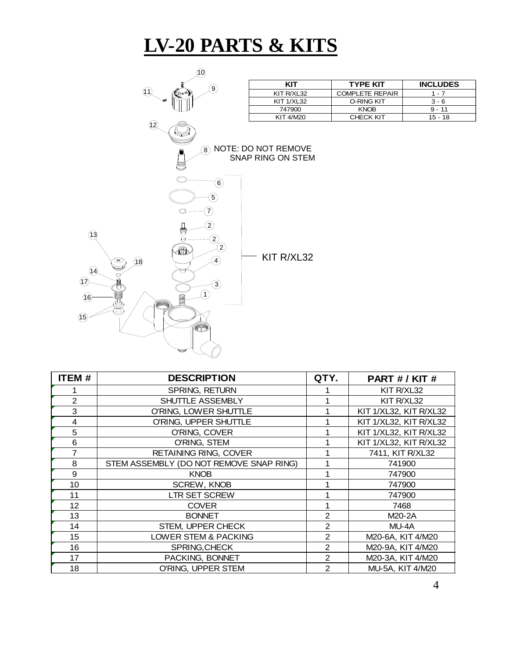# **LV-20 PARTS & KITS**



| <b>ITEM#</b>   | <b>DESCRIPTION</b>                      | QTY.           | PART # / KIT #         |  |  |
|----------------|-----------------------------------------|----------------|------------------------|--|--|
|                | SPRING, RETURN                          |                | KIT R/XL32             |  |  |
| $\overline{2}$ | SHUTTLE ASSEMBLY                        |                | KIT R/XL32             |  |  |
| 3              | O'RING, LOWER SHUTTLE                   |                | KIT 1/XL32, KIT R/XL32 |  |  |
| 4              | O'RING, UPPER SHUTTLE                   |                | KIT 1/XL32, KIT R/XL32 |  |  |
| 5              | O'RING, COVER                           |                | KIT 1/XL32, KIT R/XL32 |  |  |
| 6              | O'RING, STEM                            |                | KIT 1/XL32, KIT R/XL32 |  |  |
| 7              | <b>RETAINING RING, COVER</b>            |                | 7411, KIT R/XL32       |  |  |
| 8              | STEM ASSEMBLY (DO NOT REMOVE SNAP RING) |                | 741900                 |  |  |
| 9              | <b>KNOB</b>                             |                | 747900                 |  |  |
| 10             | <b>SCREW, KNOB</b>                      |                | 747900                 |  |  |
| 11             | <b>LTR SET SCREW</b>                    |                | 747900                 |  |  |
| 12             | <b>COVER</b>                            |                | 7468                   |  |  |
| 13             | <b>BONNET</b>                           | $\overline{2}$ | M20-2A                 |  |  |
| 14             | STEM, UPPER CHECK                       | 2              | MU-4A                  |  |  |
| 15             | LOWER STEM & PACKING                    | $\overline{2}$ | M20-6A, KIT 4/M20      |  |  |
| 16             | SPRING, CHECK                           | $\overline{2}$ | M20-9A, KIT 4/M20      |  |  |
| 17             | PACKING, BONNET                         | 2              | M20-3A, KIT 4/M20      |  |  |
| 18             | O'RING, UPPER STEM                      | $\mathbf{2}$   | MU-5A, KIT 4/M20       |  |  |

0-RING KIT 3 - 6<br>KNOB 9 - 11

CHECK KIT